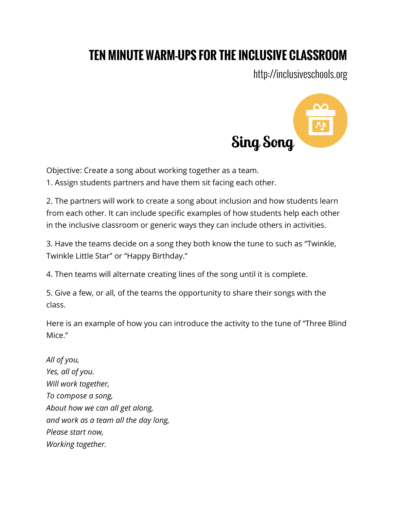## **TEN MINUTE WARM-UPS FOR THE INCLUSIVE CLASSROOM**

http://inclusiveschools.org



Objective: Create a song about working together as a team.

1. Assign students partners and have them sit facing each other.

2. The partners will work to create a song about inclusion and how students learn from each other. It can include specific examples of how students help each other in the inclusive classroom or generic ways they can include others in activities.

3. Have the teams decide on a song they both know the tune to such as "Twinkle, Twinkle Little Star" or "Happy Birthday."

4. Then teams will alternate creating lines of the song until it is complete.

5. Give a few, or all, of the teams the opportunity to share their songs with the class.

Here is an example of how you can introduce the activity to the tune of "Three Blind Mice."

*All of you, Yes, all of you. Will work together, To compose a song, About how we can all get along, and work as a team all the day long, Please start now, Working together.*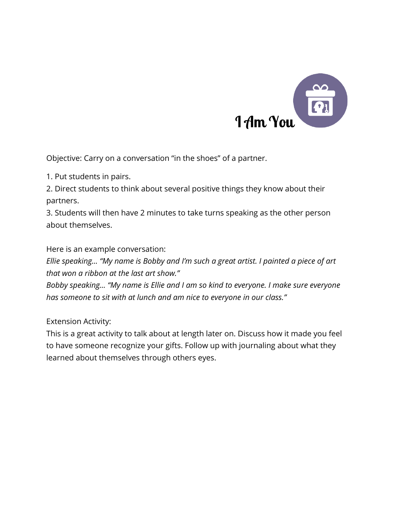

Objective: Carry on a conversation "in the shoes" of a partner.

1. Put students in pairs.

2. Direct students to think about several positive things they know about their partners.

3. Students will then have 2 minutes to take turns speaking as the other person about themselves.

Here is an example conversation:

*Ellie speaking… "My name is Bobby and I'm such a great artist. I painted a piece of art that won a ribbon at the last art show."*

*Bobby speaking… "My name is Ellie and I am so kind to everyone. I make sure everyone has someone to sit with at lunch and am nice to everyone in our class."*

Extension Activity:

This is a great activity to talk about at length later on. Discuss how it made you feel to have someone recognize your gifts. Follow up with journaling about what they learned about themselves through others eyes.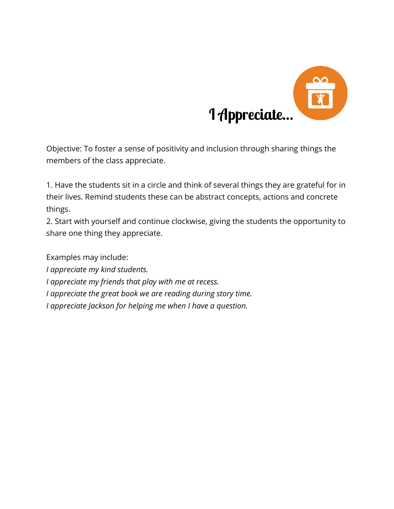

Objective: To foster a sense of positivity and inclusion through sharing things the members of the class appreciate.

1. Have the students sit in a circle and think of several things they are grateful for in their lives. Remind students these can be abstract concepts, actions and concrete things.

2. Start with yourself and continue clockwise, giving the students the opportunity to share one thing they appreciate.

Examples may include:

*I appreciate my kind students.*

*I appreciate my friends that play with me at recess.*

*I appreciate the great book we are reading during story time.*

*I appreciate Jackson for helping me when I have a question.*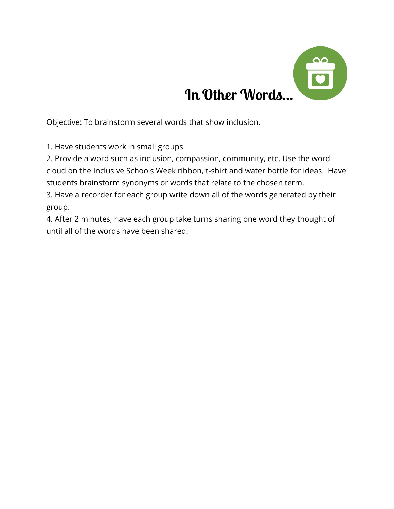

Objective: To brainstorm several words that show inclusion.

1. Have students work in small groups.

2. Provide a word such as inclusion, compassion, community, etc. Use the word cloud on the Inclusive Schools Week ribbon, t-shirt and water bottle for ideas. Have students brainstorm synonyms or words that relate to the chosen term.

3. Have a recorder for each group write down all of the words generated by their group.

4. After 2 minutes, have each group take turns sharing one word they thought of until all of the words have been shared.